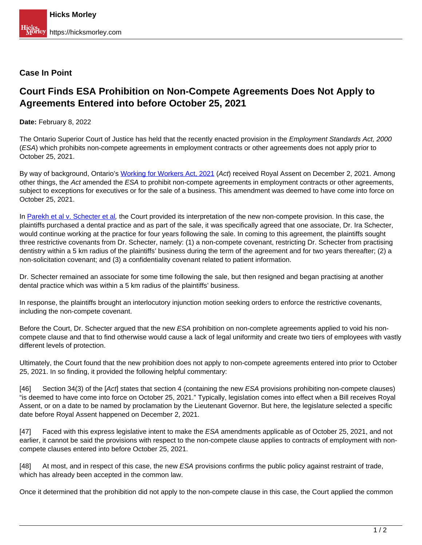## **Case In Point**

## **Court Finds ESA Prohibition on Non-Compete Agreements Does Not Apply to Agreements Entered into before October 25, 2021**

**Date:** February 8, 2022

The Ontario Superior Court of Justice has held that the recently enacted provision in the Employment Standards Act, 2000 (ESA) which prohibits non-compete agreements in employment contracts or other agreements does not apply prior to October 25, 2021.

By way of background, Ontario's [Working for Workers Act, 2021](https://www.ola.org/en/legislative-business/bills/parliament-42/session-2/bill-27#BK4) (Act) received Royal Assent on December 2, 2021. Among other things, the Act amended the ESA to prohibit non-compete agreements in employment contracts or other agreements, subject to exceptions for executives or for the sale of a business. This amendment was deemed to have come into force on October 25, 2021.

In Parekh et al v. Schecter et al, the Court provided its interpretation of the new non-compete provision. In this case, the plaintiffs purchased a dental practice and as part of the sale, it was specifically agreed that one associate, Dr. Ira Schecter, would continue working at the practice for four years following the sale. In coming to this agreement, the plaintiffs sought three restrictive covenants from Dr. Schecter, namely: (1) a non-compete covenant, restricting Dr. Schecter from practising dentistry within a 5 km radius of the plaintiffs' business during the term of the agreement and for two years thereafter; (2) a non-solicitation covenant; and (3) a confidentiality covenant related to patient information.

Dr. Schecter remained an associate for some time following the sale, but then resigned and began practising at another dental practice which was within a 5 km radius of the plaintiffs' business.

In response, the plaintiffs brought an interlocutory injunction motion seeking orders to enforce the restrictive covenants, including the non-compete covenant.

Before the Court, Dr. Schecter argued that the new ESA prohibition on non-complete agreements applied to void his noncompete clause and that to find otherwise would cause a lack of legal uniformity and create two tiers of employees with vastly different levels of protection.

Ultimately, the Court found that the new prohibition does not apply to non-compete agreements entered into prior to October 25, 2021. In so finding, it provided the following helpful commentary:

[46] Section 34(3) of the [Act] states that section 4 (containing the new ESA provisions prohibiting non-compete clauses) "is deemed to have come into force on October 25, 2021." Typically, legislation comes into effect when a Bill receives Royal Assent, or on a date to be named by proclamation by the Lieutenant Governor. But here, the legislature selected a specific date before Royal Assent happened on December 2, 2021.

[47] Faced with this express legislative intent to make the ESA amendments applicable as of October 25, 2021, and not earlier, it cannot be said the provisions with respect to the non-compete clause applies to contracts of employment with noncompete clauses entered into before October 25, 2021.

[48] At most, and in respect of this case, the new ESA provisions confirms the public policy against restraint of trade, which has already been accepted in the common law.

Once it determined that the prohibition did not apply to the non-compete clause in this case, the Court applied the common